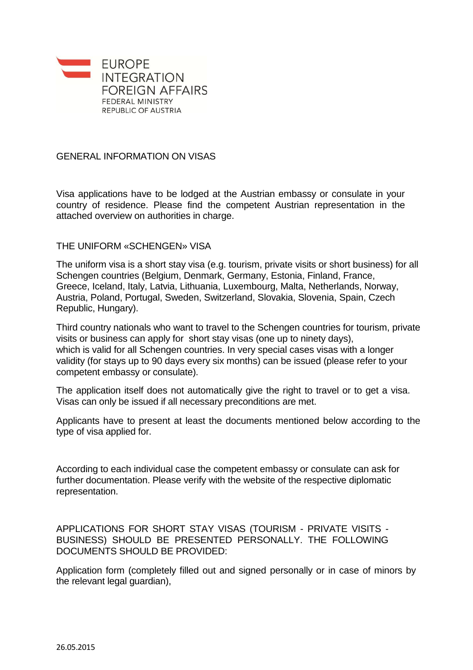

## GENERAL INFORMATION ON VISAS

Visa applications have to be lodged at the Austrian embassy or consulate in your country of residence. Please find the competent Austrian representation in the attached overview on authorities in charge.

## THE UNIFORM «SCHENGEN» VISA

The uniform visa is a short stay visa (e.g. tourism, private visits or short business) for all Schengen countries (Belgium, Denmark, Germany, Estonia, Finland, France, Greece, Iceland, Italy, Latvia, Lithuania, Luxembourg, Malta, Netherlands, Norway, Austria, Poland, Portugal, Sweden, Switzerland, Slovakia, Slovenia, Spain, Czech Republic, Hungary).

Third country nationals who want to travel to the Schengen countries for tourism, private visits or business can apply for short stay visas (one up to ninety days), which is valid for all Schengen countries. In very special cases visas with a longer validity (for stays up to 90 days every six months) can be issued (please refer to your competent embassy or consulate).

The application itself does not automatically give the right to travel or to get a visa. Visas can only be issued if all necessary preconditions are met.

Applicants have to present at least the documents mentioned below according to the type of visa applied for.

According to each individual case the competent embassy or consulate can ask for further documentation. Please verify with the website of the respective diplomatic representation.

APPLICATIONS FOR SHORT STAY VISAS (TOURISM - PRIVATE VISITS - BUSINESS) SHOULD BE PRESENTED PERSONALLY. THE FOLLOWING DOCUMENTS SHOULD BE PROVIDED:

Application form (completely filled out and signed personally or in case of minors by the relevant legal guardian),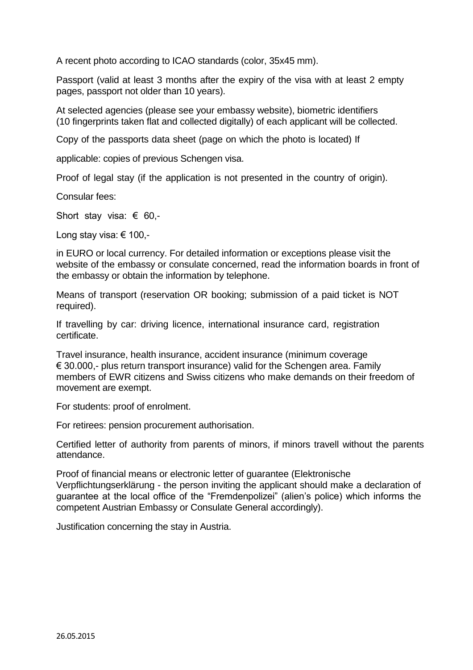A recent photo according to ICAO standards (color, 35x45 mm).

Passport (valid at least 3 months after the expiry of the visa with at least 2 empty pages, passport not older than 10 years).

At selected agencies (please see your embassy website), biometric identifiers (10 fingerprints taken flat and collected digitally) of each applicant will be collected.

Copy of the passports data sheet (page on which the photo is located) If

applicable: copies of previous Schengen visa.

Proof of legal stay (if the application is not presented in the country of origin).

Consular fees:

Short stay visa: € 60,-

Long stay visa: € 100,-

in EURO or local currency. For detailed information or exceptions please visit the website of the embassy or consulate concerned, read the information boards in front of the embassy or obtain the information by telephone.

Means of transport (reservation OR booking; submission of a paid ticket is NOT required).

If travelling by car: driving licence, international insurance card, registration certificate.

Travel insurance, health insurance, accident insurance (minimum coverage  $\epsilon$  30.000,- plus return transport insurance) valid for the Schengen area. Family members of EWR citizens and Swiss citizens who make demands on their freedom of movement are exempt.

For students: proof of enrolment.

For retirees: pension procurement authorisation.

Certified letter of authority from parents of minors, if minors travell without the parents attendance.

Proof of financial means or electronic letter of guarantee (Elektronische Verpflichtungserklärung - the person inviting the applicant should make a declaration of guarantee at the local office of the "Fremdenpolizei" (alien's police) which informs the competent Austrian Embassy or Consulate General accordingly).

Justification concerning the stay in Austria.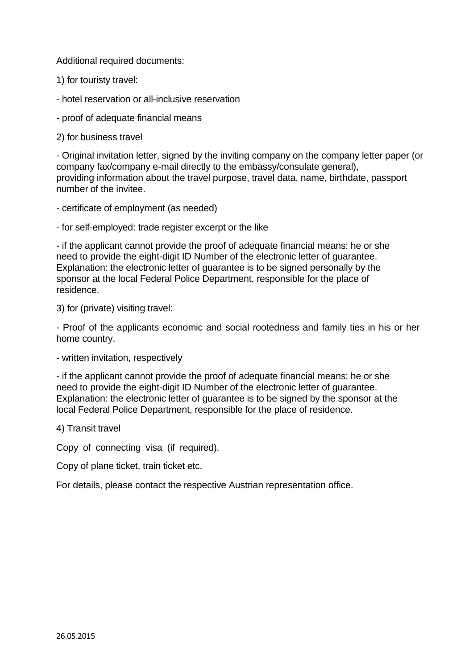Additional required documents:

1) for touristy travel:

- hotel reservation or all-inclusive reservation

- proof of adequate financial means

2) for business travel

- Original invitation letter, signed by the inviting company on the company letter paper (or company fax/company e-mail directly to the embassy/consulate general), providing information about the travel purpose, travel data, name, birthdate, passport number of the invitee.

- certificate of employment (as needed)

- for self-employed: trade register excerpt or the like

- if the applicant cannot provide the proof of adequate financial means: he or she need to provide the eight-digit ID Number of the electronic letter of guarantee. Explanation: the electronic letter of guarantee is to be signed personally by the sponsor at the local Federal Police Department, responsible for the place of residence.

3) for (private) visiting travel:

- Proof of the applicants economic and social rootedness and family ties in his or her home country.

- written invitation, respectively

- if the applicant cannot provide the proof of adequate financial means: he or she need to provide the eight-digit ID Number of the electronic letter of guarantee. Explanation: the electronic letter of guarantee is to be signed by the sponsor at the local Federal Police Department, responsible for the place of residence.

4) Transit travel

Copy of connecting visa (if required).

Copy of plane ticket, train ticket etc.

For details, please contact the respective Austrian representation office.